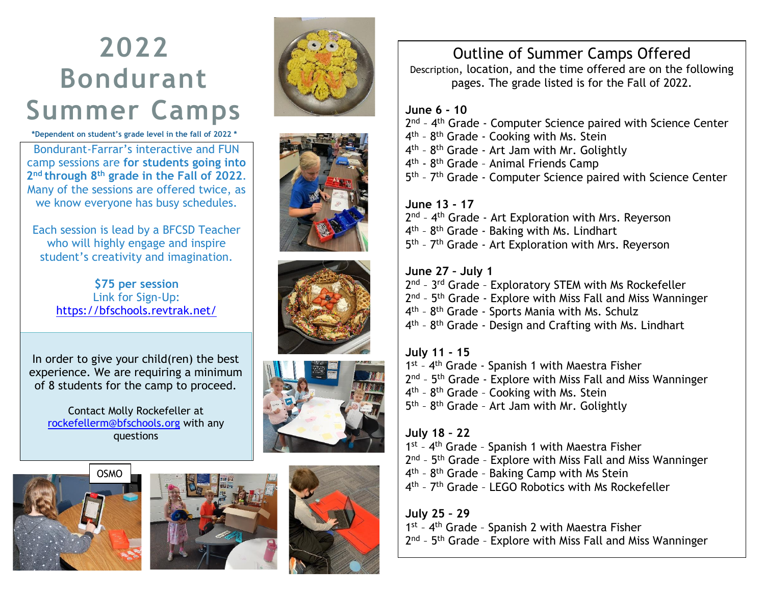## **2022 Bondurant Summer Camps**

**\*Dependent on student's grade level in the fall of 2022 \***

**z**<br>*<u>sions</u>* **are for students** camp sessions are **for students going into**<br>2<sup>nd</sup> through 8<sup>th</sup> grade in the Fall of 2022. Many of the sessions are offered twice, as **th** we know everyone has busy schedules. **th Grade Offerings** Bondurant -Farrar's interactive and FUN

Each session is lead by a BFCSD Teacher who will highly engage and inspire student's creativity and imagination. Exploratory Spanish 1 & 2

> \$75 per session .<br>Link for Sign-Up: <https://bfschools.revtrak.net/> Stitches and Seams

3D Design and Engineering

In order to give your child(ren) the best experience. We are requiring a minimum of 8 students for the camp to proceed.

Contact Molly Rockefeller at [rockefellerm@bfschools.org](mailto:rockefellerm@bfschools.org) with any questions















## Outline of Summer Camps Offered

Description, location, and the time offered are on the following pages. The grade listed is for the Fall of 2022.

## **June 6 - 10**

- 2<sup>nd</sup> 4<sup>th</sup> Grade Computer Science paired with Science Center 4<sup>th</sup> - 8<sup>th</sup> Grade - Cooking with Ms. Stein 4<sup>th</sup> - 8<sup>th</sup> Grade - Art Jam with Mr. Golightly 4<sup>th</sup> - 8<sup>th</sup> Grade - Animal Friends Camp
- 5<sup>th</sup> 7<sup>th</sup> Grade Computer Science paired with Science Center

## **June 13 - 17**

2<sup>nd</sup> - 4<sup>th</sup> Grade - Art Exploration with Mrs. Reyerson 4<sup>th</sup> - 8<sup>th</sup> Grade - Baking with Ms. Lindhart 5<sup>th</sup> - 7<sup>th</sup> Grade - Art Exploration with Mrs. Reyerson

## **June 27 – July 1**

2<sup>nd</sup> - 3<sup>rd</sup> Grade - Exploratory STEM with Ms Rockefeller 2<sup>nd</sup> - 5<sup>th</sup> Grade - Explore with Miss Fall and Miss Wanninger 4<sup>th</sup> - 8<sup>th</sup> Grade - Sports Mania with Ms. Schulz 4<sup>th</sup> - 8<sup>th</sup> Grade - Design and Crafting with Ms. Lindhart

## **July 11 - 15**

1<sup>st</sup> - 4<sup>th</sup> Grade - Spanish 1 with Maestra Fisher 2<sup>nd</sup> - 5<sup>th</sup> Grade - Explore with Miss Fall and Miss Wanninger 4<sup>th</sup> - 8<sup>th</sup> Grade - Cooking with Ms. Stein 5<sup>th</sup> - 8<sup>th</sup> Grade - Art Jam with Mr. Golightly

## **July 18 – 22**

- 1<sup>st</sup> 4<sup>th</sup> Grade Spanish 1 with Maestra Fisher
- 2<sup>nd</sup> 5<sup>th</sup> Grade Explore with Miss Fall and Miss Wanninger
- 4<sup>th</sup> 8<sup>th</sup> Grade Baking Camp with Ms Stein
- 4<sup>th</sup> 7<sup>th</sup> Grade LEGO Robotics with Ms Rockefeller

## **July 25 – 29**

1<sup>st</sup> - 4<sup>th</sup> Grade - Spanish 2 with Maestra Fisher 2<sup>nd</sup> - 5<sup>th</sup> Grade - Explore with Miss Fall and Miss Wanninger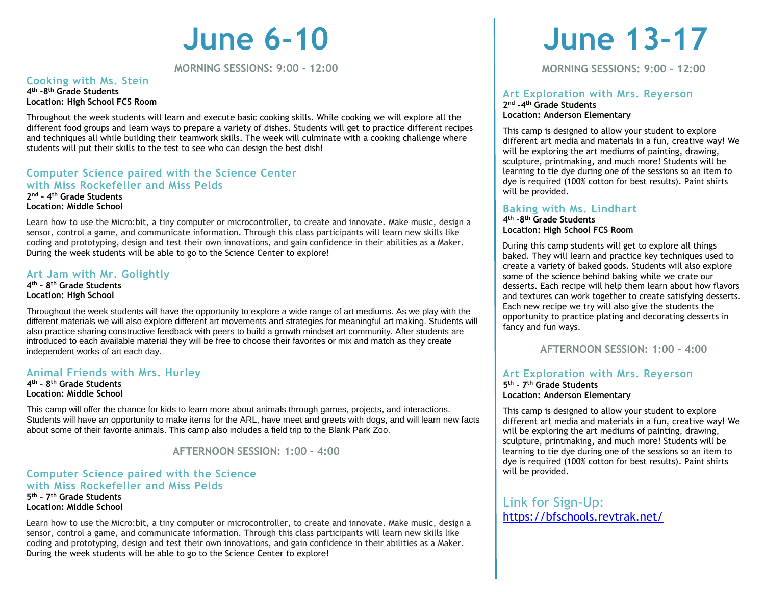# **June 6-10**

**MORNING SESSIONS: 9:00 - 12:00**

#### **Cooking with Ms. Stein**

**4 th -8 th Grade Students Location: High School FCS Room**

Throughout the week students will learn and execute basic cooking skills. While cooking we will explore all the different food groups and learn ways to prepare a variety of dishes. Students will get to practice different recipes and techniques all while building their teamwork skills. The week will culminate with a cooking challenge where students will put their skills to the test to see who can design the best dish!

#### **Computer Science paired with the Science Center with Miss Rockefeller and Miss Pelds 2 nd – 4 th Grade Students Location: Middle School**

Learn how to use the Micro:bit, a tiny computer or microcontroller, to create and innovate. Make music, design a sensor, control a game, and communicate information. Through this class participants will learn new skills like coding and prototyping, design and test their own innovations, and gain confidence in their abilities as a Maker. During the week students will be able to go to the Science Center to explore!

#### **Art Jam with Mr. Golightly**

**4 th – 8 th Grade Students Location: High School**

Throughout the week students will have the opportunity to explore a wide range of art mediums. As we play with the different materials we will also explore different art movements and strategies for meaningful art making. Students will also practice sharing constructive feedback with peers to build a growth mindset art community. After students are introduced to each available material they will be free to choose their favorites or mix and match as they create independent works of art each day.

#### **Animal Friends with Mrs. Hurley**

**4 th – 8 th Grade Students Location: Middle School**

This camp will offer the chance for kids to learn more about animals through games, projects, and interactions. Students will have an opportunity to make items for the ARL, have meet and greets with dogs, and will learn new facts about some of their favorite animals. This camp also includes a field trip to the Blank Park Zoo.

**AFTERNOON SESSION: 1:00 – 4:00**

#### **Computer Science paired with the Science with Miss Rockefeller and Miss Pelds 5 th – 7 th Grade Students**

**Location: Middle School**

Learn how to use the Micro:bit, a tiny computer or microcontroller, to create and innovate. Make music, design a sensor, control a game, and communicate information. Through this class participants will learn new skills like coding and prototyping, design and test their own innovations, and gain confidence in their abilities as a Maker. During the week students will be able to go to the Science Center to explore!

# **June 13-17**

**MORNING SESSIONS: 9:00 – 12:00**

#### **Art Exploration with Mrs. Reyerson 2 nd -4 th Grade Students Location: Anderson Elementary**

This camp is designed to allow your student to explore different art media and materials in a fun, creative way! We will be exploring the art mediums of painting, drawing, sculpture, printmaking, and much more! Students will be learning to tie dye during one of the sessions so an item to dye is required (100% cotton for best results). Paint shirts will be provided.

#### **Baking with Ms. Lindhart**

**4 th -8 th Grade Students Location: High School FCS Room**

During this camp students will get to explore all things baked. They will learn and practice key techniques used to create a variety of baked goods. Students will also explore some of the science behind baking while we crate our desserts. Each recipe will help them learn about how flavors and textures can work together to create satisfying desserts. Each new recipe we try will also give the students the opportunity to practice plating and decorating desserts in fancy and fun ways.

**AFTERNOON SESSION: 1:00 – 4:00**

#### **Art Exploration with Mrs. Reyerson**

**5 th – 7 th Grade Students Location: Anderson Elementary** 

This camp is designed to allow your student to explore different art media and materials in a fun, creative way! We will be exploring the art mediums of painting, drawing, sculpture, printmaking, and much more! Students will be learning to tie dye during one of the sessions so an item to dye is required (100% cotton for best results). Paint shirts will be provided.

Link for Sign-Up: <https://bfschools.revtrak.net/>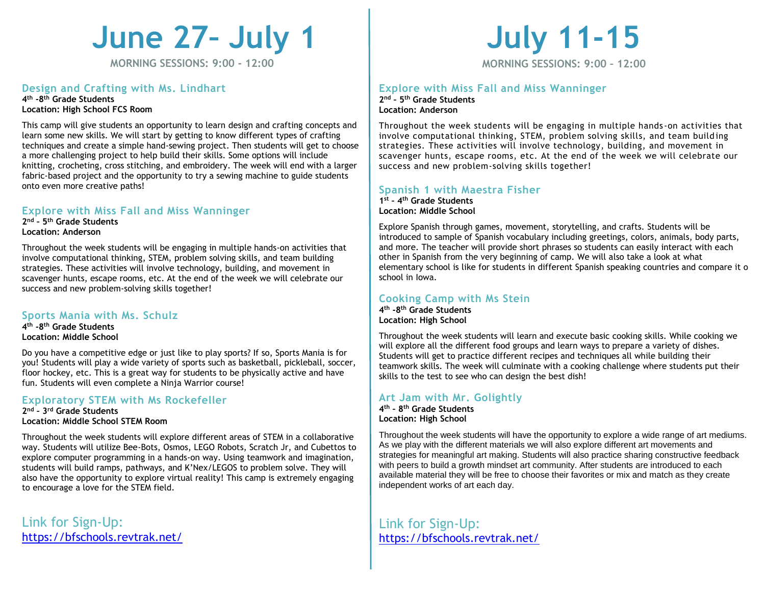# **June 27– July 1**

**MORNING SESSIONS: 9:00 - 12:00**

## **Design and Crafting with Ms. Lindhart**

#### **4 th -8 th Grade Students Location: High School FCS Room**

This camp will give students an opportunity to learn design and crafting concepts and learn some new skills. We will start by getting to know different types of crafting techniques and create a simple hand-sewing project. Then students will get to choose a more challenging project to help build their skills. Some options will include knitting, crocheting, cross stitching, and embroidery. The week will end with a larger fabric-based project and the opportunity to try a sewing machine to guide students onto even more creative paths!

#### **Explore with Miss Fall and Miss Wanninger**

**2 nd – 5 th Grade Students Location: Anderson**

Throughout the week students will be engaging in multiple hands-on activities that involve computational thinking, STEM, problem solving skills, and team building strategies. These activities will involve technology, building, and movement in scavenger hunts, escape rooms, etc. At the end of the week we will celebrate our success and new problem-solving skills together!

#### **Sports Mania with Ms. Schulz**

**4 th -8 th Grade Students Location: Middle School** 

Do you have a competitive edge or just like to play sports? If so, Sports Mania is for you! Students will play a wide variety of sports such as basketball, pickleball, soccer, floor hockey, etc. This is a great way for students to be physically active and have fun. Students will even complete a Ninja Warrior course!

#### **Exploratory STEM with Ms Rockefeller**

**2 nd – 3 rd Grade Students Location: Middle School STEM Room**

Throughout the week students will explore different areas of STEM in a collaborative way. Students will utilize Bee-Bots, Osmos, LEGO Robots, Scratch Jr, and Cubettos to explore computer programming in a hands-on way. Using teamwork and imagination, students will build ramps, pathways, and K'Nex/LEGOS to problem solve. They will also have the opportunity to explore virtual reality! This camp is extremely engaging to encourage a love for the STEM field.

Link for Sign-Up: <https://bfschools.revtrak.net/>

# **July 11-15**

**MORNING SESSIONS: 9:00 – 12:00**

#### **Explore with Miss Fall and Miss Wanninger 2 nd – 5 th Grade Students Location: Anderson**

Throughout the week students will be engaging in multiple hands -on activities that involve computational thinking, STEM, problem solving skills, and team build ing strategies. These activities will involve technology, building, and movement in scavenger hunts, escape rooms, etc. At the end of the week we will celebrate our success and new problem-solving skills together!

#### **Spanish 1 with Maestra Fisher**

**1 st – 4 th Grade Students Location: Middle School**

Explore Spanish through games, movement, storytelling, and crafts. Students will be introduced to sample of Spanish vocabulary including greetings, colors, animals, body parts, and more. The teacher will provide short phrases so students can easily interact with each other in Spanish from the very beginning of camp. We will also take a look at what elementary school is like for students in different Spanish speaking countries and compare it o school in Iowa.

#### **Cooking Camp with Ms Stein**

**4 th -8 th Grade Students Location: High School**

Throughout the week students will learn and execute basic cooking skills. While cooking we will explore all the different food groups and learn ways to prepare a variety of dishes. Students will get to practice different recipes and techniques all while building their teamwork skills. The week will culminate with a cooking challenge where students put their skills to the test to see who can design the best dish!

## **Art Jam with Mr. Golightly**

**4 th – 8 th Grade Students Location: High School**

Throughout the week students will have the opportunity to explore a wide range of art mediums. As we play with the different materials we will also explore different art movements and strategies for meaningful art making. Students will also practice sharing constructive feedback with peers to build a growth mindset art community. After students are introduced to each available material they will be free to choose their favorites or mix and match as they create independent works of art each day.

Link for Sign-Up: <https://bfschools.revtrak.net/>